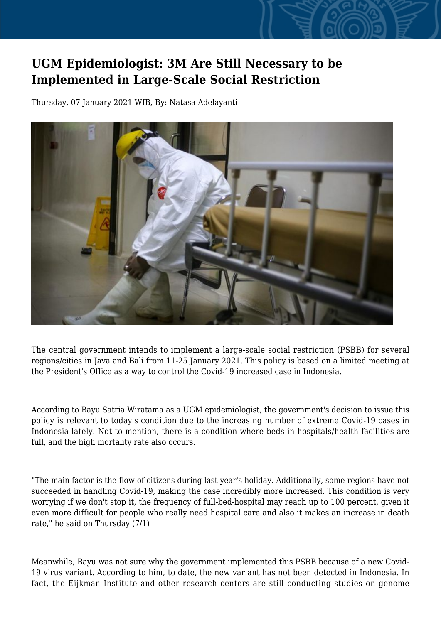## **UGM Epidemiologist: 3M Are Still Necessary to be Implemented in Large-Scale Social Restriction**

Thursday, 07 January 2021 WIB, By: Natasa Adelayanti



The central government intends to implement a large-scale social restriction (PSBB) for several regions/cities in Java and Bali from 11-25 January 2021. This policy is based on a limited meeting at the President's Office as a way to control the Covid-19 increased case in Indonesia.

According to Bayu Satria Wiratama as a UGM epidemiologist, the government's decision to issue this policy is relevant to today's condition due to the increasing number of extreme Covid-19 cases in Indonesia lately. Not to mention, there is a condition where beds in hospitals/health facilities are full, and the high mortality rate also occurs.

"The main factor is the flow of citizens during last year's holiday. Additionally, some regions have not succeeded in handling Covid-19, making the case incredibly more increased. This condition is very worrying if we don't stop it, the frequency of full-bed-hospital may reach up to 100 percent, given it even more difficult for people who really need hospital care and also it makes an increase in death rate," he said on Thursday (7/1)

Meanwhile, Bayu was not sure why the government implemented this PSBB because of a new Covid-19 virus variant. According to him, to date, the new variant has not been detected in Indonesia. In fact, the Eijkman Institute and other research centers are still conducting studies on genome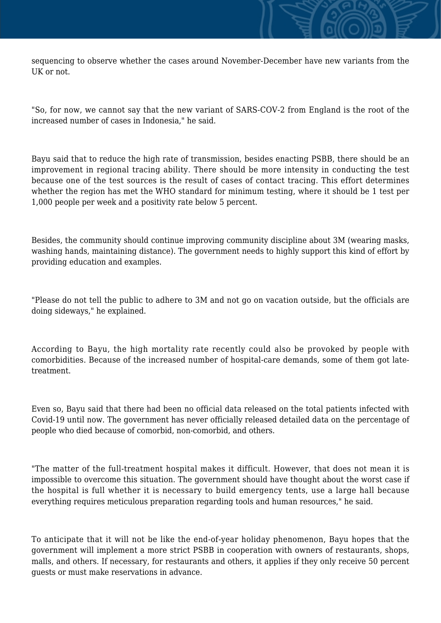sequencing to observe whether the cases around November-December have new variants from the UK or not.

"So, for now, we cannot say that the new variant of SARS-COV-2 from England is the root of the increased number of cases in Indonesia," he said.

Bayu said that to reduce the high rate of transmission, besides enacting PSBB, there should be an improvement in regional tracing ability. There should be more intensity in conducting the test because one of the test sources is the result of cases of contact tracing. This effort determines whether the region has met the WHO standard for minimum testing, where it should be 1 test per 1,000 people per week and a positivity rate below 5 percent.

Besides, the community should continue improving community discipline about 3M (wearing masks, washing hands, maintaining distance). The government needs to highly support this kind of effort by providing education and examples.

"Please do not tell the public to adhere to 3M and not go on vacation outside, but the officials are doing sideways," he explained.

According to Bayu, the high mortality rate recently could also be provoked by people with comorbidities. Because of the increased number of hospital-care demands, some of them got latetreatment.

Even so, Bayu said that there had been no official data released on the total patients infected with Covid-19 until now. The government has never officially released detailed data on the percentage of people who died because of comorbid, non-comorbid, and others.

"The matter of the full-treatment hospital makes it difficult. However, that does not mean it is impossible to overcome this situation. The government should have thought about the worst case if the hospital is full whether it is necessary to build emergency tents, use a large hall because everything requires meticulous preparation regarding tools and human resources," he said.

To anticipate that it will not be like the end-of-year holiday phenomenon, Bayu hopes that the government will implement a more strict PSBB in cooperation with owners of restaurants, shops, malls, and others. If necessary, for restaurants and others, it applies if they only receive 50 percent guests or must make reservations in advance.